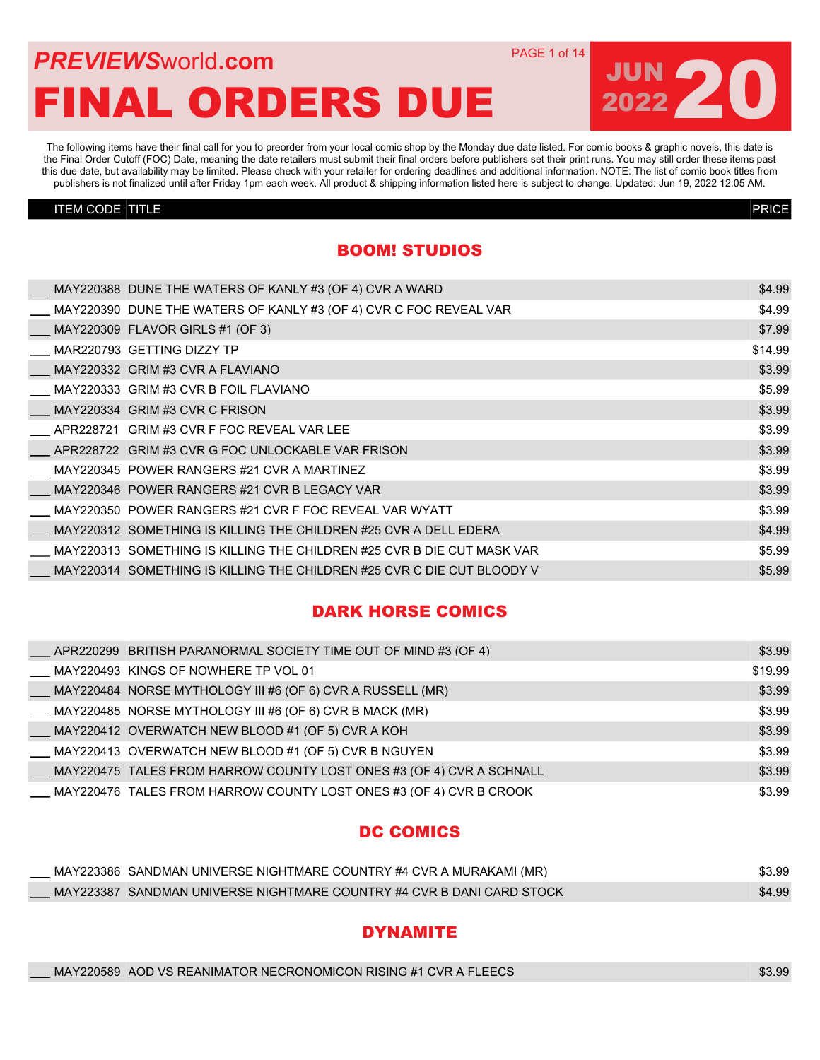## **PREVIEWS** WORLD **COM** PAGE 1 of 14 FINAL ORDERS DUE

The following items have their final call for you to preorder from your local comic shop by the Monday due date listed. For comic books & graphic novels, this date is the Final Order Cutoff (FOC) Date, meaning the date retailers must submit their final orders before publishers set their print runs. You may still order these items past this due date, but availability may be limited. Please check with your retailer for ordering deadlines and additional information. NOTE: The list of comic book titles from publishers is not finalized until after Friday 1pm each week. All product & shipping information listed here is subject to change. Updated: Jun 19, 2022 12:05 AM.

#### ITEM CODE TITLE PRICE

JUN 20

#### BOOM! STUDIOS

|  | MAY220388 DUNE THE WATERS OF KANLY #3 (OF 4) CVR A WARD                | \$4.99  |
|--|------------------------------------------------------------------------|---------|
|  | MAY220390 DUNE THE WATERS OF KANLY #3 (OF 4) CVR C FOC REVEAL VAR      | \$4.99  |
|  | MAY220309 FLAVOR GIRLS #1 (OF 3)                                       | \$7.99  |
|  | MAR220793 GETTING DIZZY TP                                             | \$14.99 |
|  | MAY220332 GRIM #3 CVR A FLAVIANO                                       | \$3.99  |
|  | MAY220333 GRIM #3 CVR B FOIL FLAVIANO                                  | \$5.99  |
|  | MAY220334 GRIM #3 CVR C FRISON                                         | \$3.99  |
|  | APR228721 GRIM #3 CVR F FOC REVEAL VAR LEE                             | \$3.99  |
|  | APR228722 GRIM #3 CVR G FOC UNLOCKABLE VAR FRISON                      | \$3.99  |
|  | MAY220345 POWER RANGERS #21 CVR A MARTINEZ                             | \$3.99  |
|  | MAY220346 POWER RANGERS #21 CVR B LEGACY VAR                           | \$3.99  |
|  | MAY220350 POWER RANGERS #21 CVR F FOC REVEAL VAR WYATT                 | \$3.99  |
|  | MAY220312 SOMETHING IS KILLING THE CHILDREN #25 CVR A DELL EDERA       | \$4.99  |
|  | MAY220313 SOMETHING IS KILLING THE CHILDREN #25 CVR B DIE CUT MASK VAR | \$5.99  |
|  | MAY220314 SOMETHING IS KILLING THE CHILDREN #25 CVR C DIE CUT BLOODY V | \$5.99  |
|  |                                                                        |         |

#### DARK HORSE COMICS

|  | APR220299 BRITISH PARANORMAL SOCIETY TIME OUT OF MIND #3 (OF 4)      | \$3.99  |
|--|----------------------------------------------------------------------|---------|
|  | MAY220493 KINGS OF NOWHERE TP VOL 01                                 | \$19.99 |
|  | ___ MAY220484 NORSE MYTHOLOGY III #6 (OF 6) CVR A RUSSELL (MR)       | \$3.99  |
|  | MAY220485_NORSE MYTHOLOGY III #6 (OF 6) CVR B MACK (MR)              | \$3.99  |
|  | MAY220412 OVERWATCH NEW BLOOD #1 (OF 5) CVR A KOH                    | \$3.99  |
|  | MAY220413 OVERWATCH NEW BLOOD #1 (OF 5) CVR B NGUYEN                 | \$3.99  |
|  | MAY220475 TALES FROM HARROW COUNTY LOST ONES #3 (OF 4) CVR A SCHNALL | \$3.99  |
|  | MAY220476 TALES FROM HARROW COUNTY LOST ONES #3 (OF 4) CVR B CROOK   | \$3.99  |

#### DC COMICS

|  | MAY223386 SANDMAN UNIVERSE NIGHTMARE COUNTRY #4 CVR A MURAKAMI (MR)   | \$3.99 |
|--|-----------------------------------------------------------------------|--------|
|  | MAY223387 SANDMAN UNIVERSE NIGHTMARE COUNTRY #4 CVR B DANI CARD STOCK | \$4.99 |

#### **DYNAMITE**

| MAY220589 AOD VS REANIMATOR NECRONOMICON RISING #1 CVR A FLEECS | \$3.99 |
|-----------------------------------------------------------------|--------|
|-----------------------------------------------------------------|--------|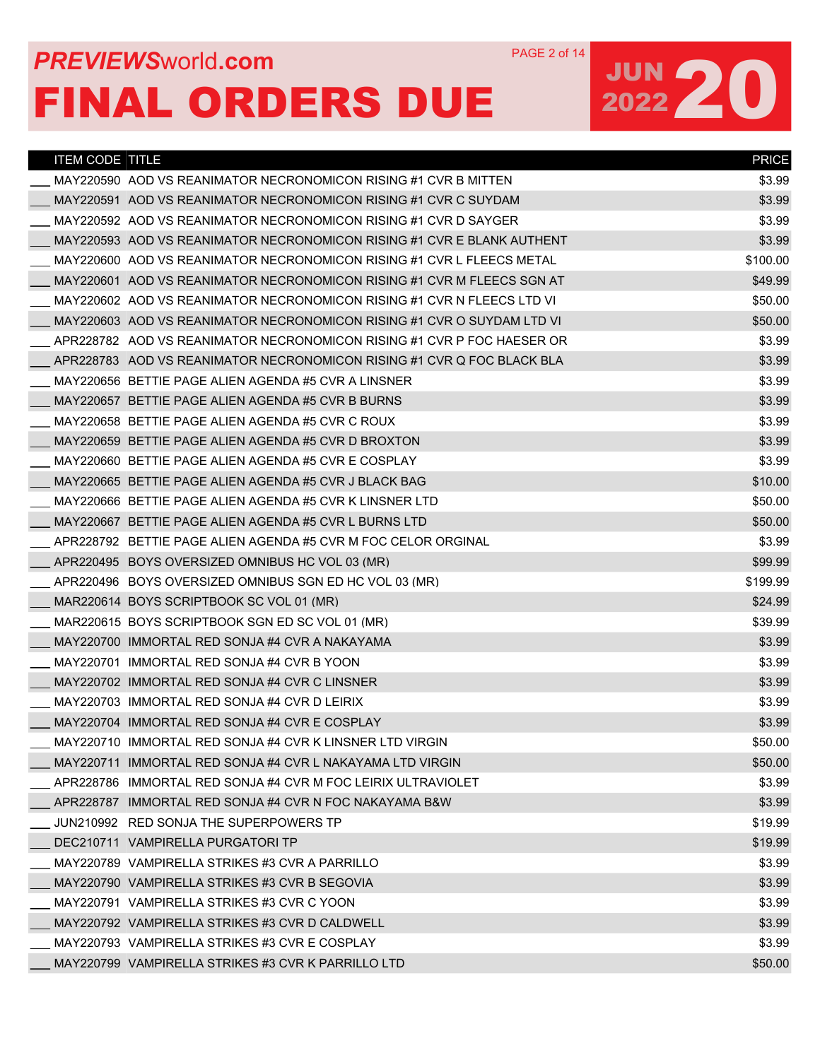## **PREVIEWS** WORLD **COM** PAGE 2 of 14 FINAL ORDERS DUE

| <b>ITEM CODE TITLE</b> |                                                                        | <b>PRICE</b> |
|------------------------|------------------------------------------------------------------------|--------------|
|                        | MAY220590 AOD VS REANIMATOR NECRONOMICON RISING #1 CVR B MITTEN        | \$3.99       |
|                        | MAY220591 AOD VS REANIMATOR NECRONOMICON RISING #1 CVR C SUYDAM        | \$3.99       |
|                        | MAY220592  AOD VS REANIMATOR NECRONOMICON RISING #1 CVR D SAYGER       | \$3.99       |
|                        | MAY220593 AOD VS REANIMATOR NECRONOMICON RISING #1 CVR E BLANK AUTHENT | \$3.99       |
|                        | MAY220600 AOD VS REANIMATOR NECRONOMICON RISING #1 CVR L FLEECS METAL  | \$100.00     |
|                        | MAY220601 AOD VS REANIMATOR NECRONOMICON RISING #1 CVR M FLEECS SGN AT | \$49.99      |
|                        | MAY220602 AOD VS REANIMATOR NECRONOMICON RISING #1 CVR N FLEECS LTD VI | \$50.00      |
|                        | MAY220603 AOD VS REANIMATOR NECRONOMICON RISING #1 CVR O SUYDAM LTD VI | \$50.00      |
|                        | APR228782 AOD VS REANIMATOR NECRONOMICON RISING #1 CVR P FOC HAESER OR | \$3.99       |
|                        | APR228783 AOD VS REANIMATOR NECRONOMICON RISING #1 CVR Q FOC BLACK BLA | \$3.99       |
|                        | MAY220656_BETTIE PAGE ALIEN AGENDA #5 CVR A LINSNER                    | \$3.99       |
|                        | MAY220657 BETTIE PAGE ALIEN AGENDA #5 CVR B BURNS                      | \$3.99       |
|                        | MAY220658 BETTIE PAGE ALIEN AGENDA #5 CVR C ROUX                       | \$3.99       |
|                        | MAY220659 BETTIE PAGE ALIEN AGENDA #5 CVR D BROXTON                    | \$3.99       |
|                        | MAY220660 BETTIE PAGE ALIEN AGENDA #5 CVR E COSPLAY                    | \$3.99       |
|                        | MAY220665 BETTIE PAGE ALIEN AGENDA #5 CVR J BLACK BAG                  | \$10.00      |
|                        | MAY220666 BETTIE PAGE ALIEN AGENDA #5 CVR K LINSNER LTD                | \$50.00      |
|                        | MAY220667 BETTIE PAGE ALIEN AGENDA #5 CVR L BURNS LTD                  | \$50.00      |
|                        | APR228792 BETTIE PAGE ALIEN AGENDA #5 CVR M FOC CELOR ORGINAL          | \$3.99       |
|                        | APR220495 BOYS OVERSIZED OMNIBUS HC VOL 03 (MR)                        | \$99.99      |
|                        | APR220496 BOYS OVERSIZED OMNIBUS SGN ED HC VOL 03 (MR)                 | \$199.99     |
|                        | MAR220614 BOYS SCRIPTBOOK SC VOL 01 (MR)                               | \$24.99      |
|                        | MAR220615 BOYS SCRIPTBOOK SGN ED SC VOL 01 (MR)                        | \$39.99      |
|                        | MAY220700 IMMORTAL RED SONJA #4 CVR A NAKAYAMA                         | \$3.99       |
|                        | MAY220701 IMMORTAL RED SONJA #4 CVR B YOON                             | \$3.99       |
|                        | MAY220702 IMMORTAL RED SONJA #4 CVR C LINSNER                          | \$3.99       |
|                        | MAY220703 IMMORTAL RED SONJA #4 CVR D LEIRIX                           | \$3.99       |
|                        | MAY220704 IMMORTAL RED SONJA #4 CVR E COSPLAY                          | \$3.99       |
|                        | MAY220710 IMMORTAL RED SONJA #4 CVR K LINSNER LTD VIRGIN               | \$50.00      |
|                        | MAY220711 IMMORTAL RED SONJA #4 CVR L NAKAYAMA LTD VIRGIN              | \$50.00      |
|                        | APR228786 IMMORTAL RED SONJA #4 CVR M FOC LEIRIX ULTRAVIOLET           | \$3.99       |
|                        | APR228787 IMMORTAL RED SONJA #4 CVR N FOC NAKAYAMA B&W                 | \$3.99       |
|                        | JUN210992 RED SONJA THE SUPERPOWERS TP                                 | \$19.99      |
|                        | DEC210711 VAMPIRELLA PURGATORI TP                                      | \$19.99      |
|                        | MAY220789 VAMPIRELLA STRIKES #3 CVR A PARRILLO                         | \$3.99       |
|                        | MAY220790 VAMPIRELLA STRIKES #3 CVR B SEGOVIA                          | \$3.99       |
|                        | MAY220791 VAMPIRELLA STRIKES #3 CVR C YOON                             | \$3.99       |
|                        | MAY220792 VAMPIRELLA STRIKES #3 CVR D CALDWELL                         | \$3.99       |
|                        | MAY220793 VAMPIRELLA STRIKES #3 CVR E COSPLAY                          | \$3.99       |
|                        | MAY220799 VAMPIRELLA STRIKES #3 CVR K PARRILLO LTD                     | \$50.00      |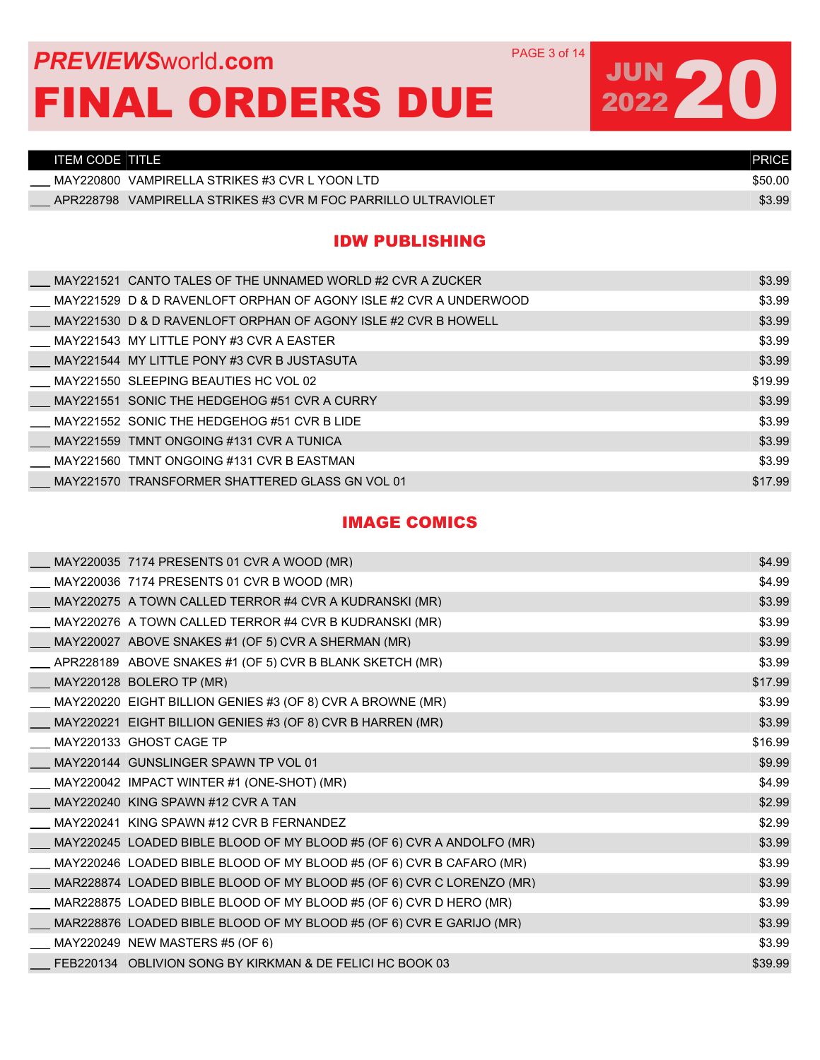### **PREVIEWS** WORLD **COM** PAGE 3 of 14 FINAL ORDERS DUE

## JUN 20

| ITEM CODE TITLE                                                   | <b>PRICE</b> |
|-------------------------------------------------------------------|--------------|
| MAY220800 VAMPIRELLA STRIKES #3 CVR L YOON LTD                    | \$50.00      |
| VAMPIRELLA STRIKES #3 CVR M FOC PARRILLO ULTRAVIOLET<br>APR228798 | \$3.99       |

#### IDW PUBLISHING

| MAY221521 CANTO TALES OF THE UNNAMED WORLD #2 CVR A ZUCKER         | \$3.99  |
|--------------------------------------------------------------------|---------|
| MAY221529 D & D RAVENLOFT ORPHAN OF AGONY ISLE #2 CVR A UNDERWOOD  | \$3.99  |
| ___ MAY221530 D & D RAVENLOFT ORPHAN OF AGONY ISLE #2 CVR B HOWELL | \$3.99  |
| MAY221543 MY LITTLE PONY #3 CVR A EASTER                           | \$3.99  |
| MAY221544 MY LITTLE PONY #3 CVR B JUSTASUTA                        | \$3.99  |
| MAY221550 SLEEPING BEAUTIES HC VOL 02                              | \$19.99 |
| MAY221551 SONIC THE HEDGEHOG #51 CVR A CURRY                       | \$3.99  |
| MAY221552 SONIC THE HEDGEHOG #51 CVR B LIDE                        | \$3.99  |
| MAY221559_TMNT ONGOING #131 CVR A TUNICA                           | \$3.99  |
| MAY221560_TMNT ONGOING #131 CVR B EASTMAN                          | \$3.99  |
| MAY221570_TRANSFORMER SHATTERED GLASS GN VOL 01                    | \$17.99 |

#### IMAGE COMICS

| MAY220035 7174 PRESENTS 01 CVR A WOOD (MR)                            | \$4.99  |
|-----------------------------------------------------------------------|---------|
| MAY220036 7174 PRESENTS 01 CVR B WOOD (MR)                            | \$4.99  |
| MAY220275 A TOWN CALLED TERROR #4 CVR A KUDRANSKI (MR)                | \$3.99  |
| MAY220276 A TOWN CALLED TERROR #4 CVR B KUDRANSKI (MR)                | \$3.99  |
| MAY220027 ABOVE SNAKES #1 (OF 5) CVR A SHERMAN (MR)                   | \$3.99  |
| APR228189 ABOVE SNAKES #1 (OF 5) CVR B BLANK SKETCH (MR)              | \$3.99  |
| MAY220128 BOLERO TP (MR)                                              | \$17.99 |
| $MAY220220$ EIGHT BILLION GENIES #3 (OF 8) CVR A BROWNE (MR)          | \$3.99  |
| MAY220221 EIGHT BILLION GENIES #3 (OF 8) CVR B HARREN (MR)            | \$3.99  |
| MAY220133 GHOST CAGE TP                                               | \$16.99 |
| MAY220144 GUNSLINGER SPAWN TP VOL 01                                  | \$9.99  |
| MAY220042 IMPACT WINTER #1 (ONE-SHOT) (MR)                            | \$4.99  |
| MAY220240 KING SPAWN #12 CVR A TAN                                    | \$2.99  |
| MAY220241 KING SPAWN #12 CVR B FERNANDEZ                              | \$2.99  |
| MAY220245 LOADED BIBLE BLOOD OF MY BLOOD #5 (OF 6) CVR A ANDOLFO (MR) | \$3.99  |
| MAY220246 LOADED BIBLE BLOOD OF MY BLOOD #5 (OF 6) CVR B CAFARO (MR)  | \$3.99  |
| MAR228874 LOADED BIBLE BLOOD OF MY BLOOD #5 (OF 6) CVR C LORENZO (MR) | \$3.99  |
| MAR228875 LOADED BIBLE BLOOD OF MY BLOOD #5 (OF 6) CVR D HERO (MR)    | \$3.99  |
| MAR228876 LOADED BIBLE BLOOD OF MY BLOOD #5 (OF 6) CVR E GARIJO (MR)  | \$3.99  |
| MAY220249 NEW MASTERS #5 (OF 6)                                       | \$3.99  |
| FEB220134 OBLIVION SONG BY KIRKMAN & DE FELICI HC BOOK 03             | \$39.99 |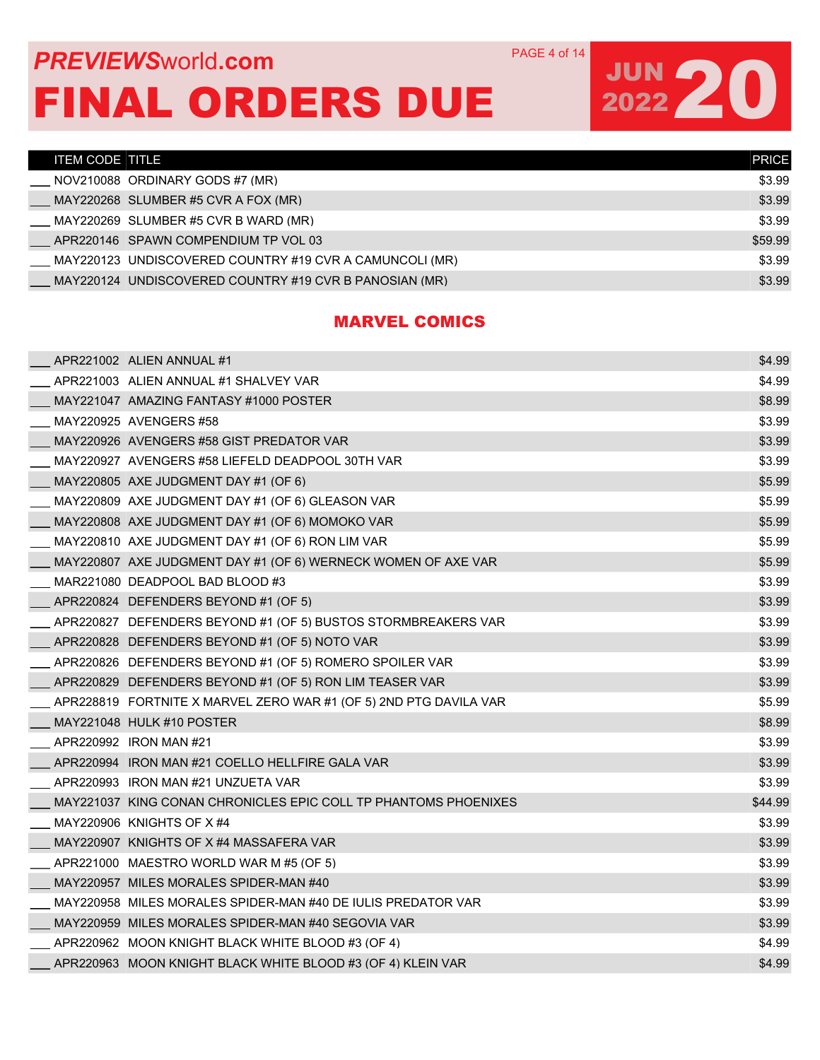### **PREVIEWS** WORLD **COM** PAGE 4 of 14 FINAL ORDERS DUE

# JUN 20

| <b>ITEM CODE TITLE</b> |                                                         | <b>PRICE</b> |
|------------------------|---------------------------------------------------------|--------------|
|                        | NOV210088 ORDINARY GODS #7 (MR)                         | \$3.99       |
|                        | MAY220268 SLUMBER #5 CVR A FOX (MR)                     | \$3.99       |
|                        | MAY220269 SLUMBER #5 CVR B WARD (MR)                    | \$3.99       |
|                        | APR220146 SPAWN COMPENDIUM TP VOL 03                    | \$59.99      |
|                        | MAY220123 UNDISCOVERED COUNTRY #19 CVR A CAMUNCOLI (MR) | \$3.99       |
|                        | MAY220124 UNDISCOVERED COUNTRY #19 CVR B PANOSIAN (MR)  | \$3.99       |

#### MARVEL COMICS

|  | APR221002 ALIEN ANNUAL #1                                         | \$4.99  |
|--|-------------------------------------------------------------------|---------|
|  | APR221003 ALIEN ANNUAL #1 SHALVEY VAR                             | \$4.99  |
|  | MAY221047 AMAZING FANTASY #1000 POSTER                            | \$8.99  |
|  | MAY220925 AVENGERS #58                                            | \$3.99  |
|  | MAY220926 AVENGERS #58 GIST PREDATOR VAR                          | \$3.99  |
|  | MAY220927 AVENGERS #58 LIEFELD DEADPOOL 30TH VAR                  | \$3.99  |
|  | MAY220805 AXE JUDGMENT DAY #1 (OF 6)                              | \$5.99  |
|  | MAY220809 AXE JUDGMENT DAY #1 (OF 6) GLEASON VAR                  | \$5.99  |
|  | MAY220808 AXE JUDGMENT DAY #1 (OF 6) MOMOKO VAR                   | \$5.99  |
|  | MAY220810 AXE JUDGMENT DAY #1 (OF 6) RON LIM VAR                  | \$5.99  |
|  | MAY220807 AXE JUDGMENT DAY #1 (OF 6) WERNECK WOMEN OF AXE VAR     | \$5.99  |
|  | MAR221080 DEADPOOL BAD BLOOD #3                                   | \$3.99  |
|  | APR220824 DEFENDERS BEYOND #1 (OF 5)                              | \$3.99  |
|  | APR220827 DEFENDERS BEYOND #1 (OF 5) BUSTOS STORMBREAKERS VAR     | \$3.99  |
|  | APR220828 DEFENDERS BEYOND #1 (OF 5) NOTO VAR                     | \$3.99  |
|  | APR220826 DEFENDERS BEYOND #1 (OF 5) ROMERO SPOILER VAR           | \$3.99  |
|  | APR220829 DEFENDERS BEYOND #1 (OF 5) RON LIM TEASER VAR           | \$3.99  |
|  | APR228819 FORTNITE X MARVEL ZERO WAR #1 (OF 5) 2ND PTG DAVILA VAR | \$5.99  |
|  | MAY221048 HULK #10 POSTER                                         | \$8.99  |
|  | APR220992 IRON MAN #21                                            | \$3.99  |
|  | APR220994 IRON MAN #21 COELLO HELLFIRE GALA VAR                   | \$3.99  |
|  | APR220993 IRON MAN #21 UNZUETA VAR                                | \$3.99  |
|  | MAY221037 KING CONAN CHRONICLES EPIC COLL TP PHANTOMS PHOENIXES   | \$44.99 |
|  | MAY220906 KNIGHTS OF X #4                                         | \$3.99  |
|  | MAY220907 KNIGHTS OF X #4 MASSAFERA VAR                           | \$3.99  |
|  | APR221000 MAESTRO WORLD WAR M #5 (OF 5)                           | \$3.99  |
|  | MAY220957 MILES MORALES SPIDER-MAN #40                            | \$3.99  |
|  | MAY220958 MILES MORALES SPIDER-MAN #40 DE IULIS PREDATOR VAR      | \$3.99  |
|  | MAY220959 MILES MORALES SPIDER-MAN #40 SEGOVIA VAR                | \$3.99  |
|  | APR220962 MOON KNIGHT BLACK WHITE BLOOD #3 (OF 4)                 | \$4.99  |
|  | APR220963 MOON KNIGHT BLACK WHITE BLOOD #3 (OF 4) KLEIN VAR       | \$4.99  |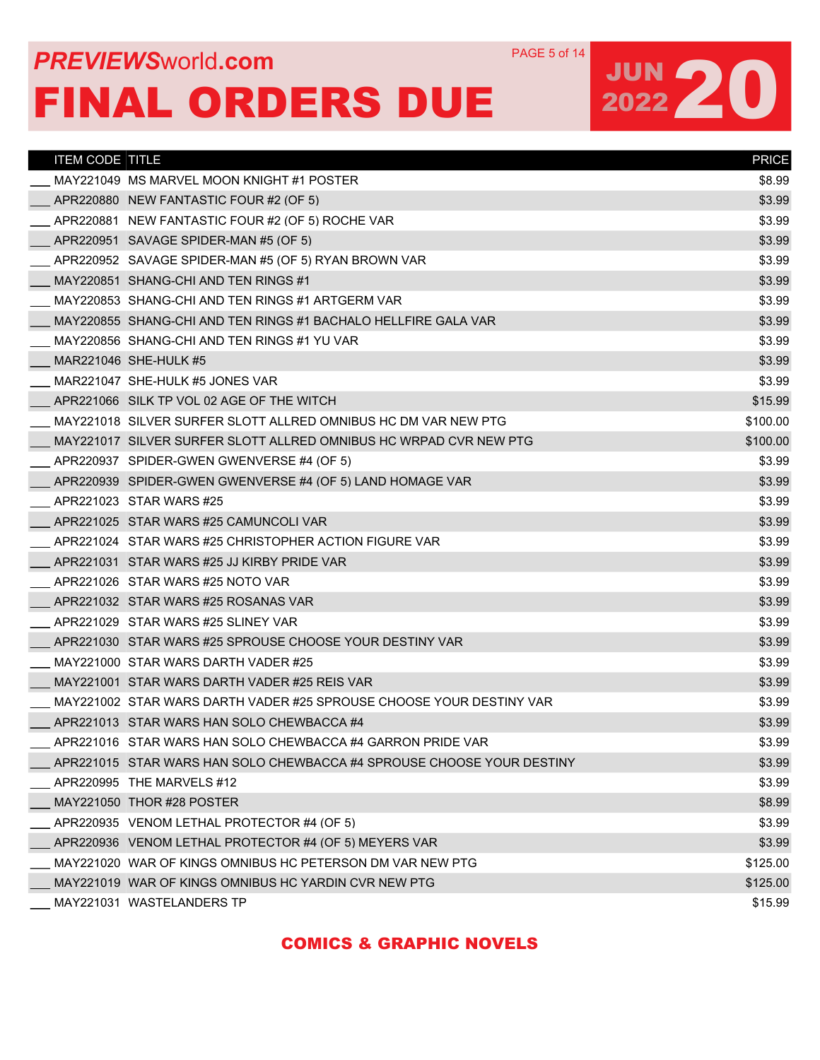## **PREVIEWS** WORLD **COM** PAGE 5 of 14 FINAL ORDERS DUE

## JUN 20

| <b>ITEM CODE TITLE</b> |                                                                       | <b>PRICE</b> |
|------------------------|-----------------------------------------------------------------------|--------------|
|                        | MAY221049 MS MARVEL MOON KNIGHT #1 POSTER                             | \$8.99       |
|                        | APR220880 NEW FANTASTIC FOUR #2 (OF 5)                                | \$3.99       |
|                        | APR220881 NEW FANTASTIC FOUR #2 (OF 5) ROCHE VAR                      | \$3.99       |
|                        | APR220951 SAVAGE SPIDER-MAN #5 (OF 5)                                 | \$3.99       |
|                        | APR220952 SAVAGE SPIDER-MAN #5 (OF 5) RYAN BROWN VAR                  | \$3.99       |
|                        | MAY220851 SHANG-CHI AND TEN RINGS #1                                  | \$3.99       |
|                        | MAY220853 SHANG-CHI AND TEN RINGS #1 ARTGERM VAR                      | \$3.99       |
|                        | MAY220855 SHANG-CHI AND TEN RINGS #1 BACHALO HELLFIRE GALA VAR        | \$3.99       |
|                        | MAY220856 SHANG-CHI AND TEN RINGS #1 YU VAR                           | \$3.99       |
|                        | MAR221046 SHE-HULK #5                                                 | \$3.99       |
|                        | MAR221047 SHE-HULK #5 JONES VAR                                       | \$3.99       |
|                        | APR221066 SILK TP VOL 02 AGE OF THE WITCH                             | \$15.99      |
|                        | MAY221018 SILVER SURFER SLOTT ALLRED OMNIBUS HC DM VAR NEW PTG        | \$100.00     |
|                        | MAY221017 SILVER SURFER SLOTT ALLRED OMNIBUS HC WRPAD CVR NEW PTG     | \$100.00     |
|                        | APR220937 SPIDER-GWEN GWENVERSE #4 (OF 5)                             | \$3.99       |
|                        | APR220939 SPIDER-GWEN GWENVERSE #4 (OF 5) LAND HOMAGE VAR             | \$3.99       |
|                        | APR221023 STAR WARS #25                                               | \$3.99       |
|                        | APR221025 STAR WARS #25 CAMUNCOLI VAR                                 | \$3.99       |
|                        | APR221024 STAR WARS #25 CHRISTOPHER ACTION FIGURE VAR                 | \$3.99       |
|                        | APR221031 STAR WARS #25 JJ KIRBY PRIDE VAR                            | \$3.99       |
|                        | APR221026 STAR WARS #25 NOTO VAR                                      | \$3.99       |
|                        | APR221032 STAR WARS #25 ROSANAS VAR                                   | \$3.99       |
|                        | APR221029 STAR WARS #25 SLINEY VAR                                    | \$3.99       |
|                        | APR221030 STAR WARS #25 SPROUSE CHOOSE YOUR DESTINY VAR               | \$3.99       |
|                        | MAY221000 STAR WARS DARTH VADER #25                                   | \$3.99       |
|                        | MAY221001 STAR WARS DARTH VADER #25 REIS VAR                          | \$3.99       |
|                        | MAY221002   STAR WARS DARTH VADER #25 SPROUSE CHOOSE YOUR DESTINY VAR | \$3.99       |
|                        | APR221013 STAR WARS HAN SOLO CHEWBACCA #4                             | \$3.99       |
|                        | APR221016 STAR WARS HAN SOLO CHEWBACCA #4 GARRON PRIDE VAR            | \$3.99       |
|                        | APR221015 STAR WARS HAN SOLO CHEWBACCA #4 SPROUSE CHOOSE YOUR DESTINY | \$3.99       |
|                        | APR220995 THE MARVELS #12                                             | \$3.99       |
|                        | MAY221050 THOR #28 POSTER                                             | \$8.99       |
|                        | APR220935 VENOM LETHAL PROTECTOR #4 (OF 5)                            | \$3.99       |
|                        | APR220936 VENOM LETHAL PROTECTOR #4 (OF 5) MEYERS VAR                 | \$3.99       |
|                        | MAY221020 WAR OF KINGS OMNIBUS HC PETERSON DM VAR NEW PTG             | \$125.00     |
|                        | MAY221019 WAR OF KINGS OMNIBUS HC YARDIN CVR NEW PTG                  | \$125.00     |
|                        | MAY221031 WASTELANDERS TP                                             | \$15.99      |

#### COMICS & GRAPHIC NOVELS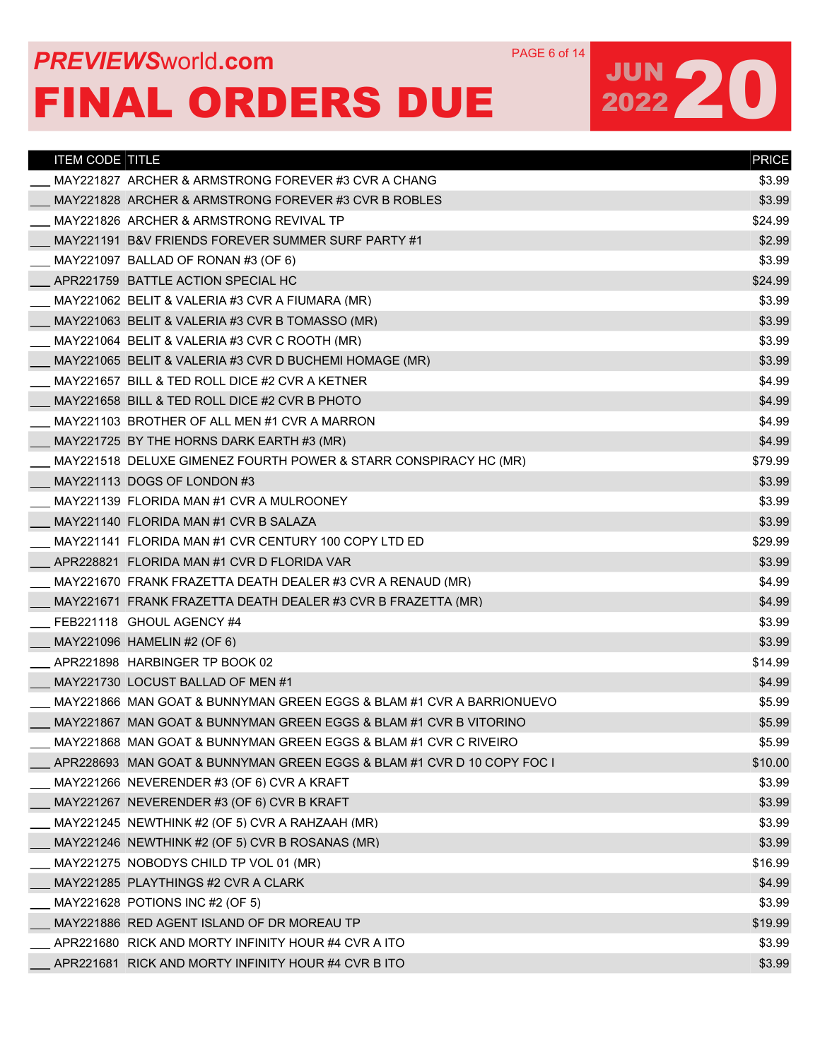## **PREVIEWS** WORLD **COM** PAGE 6 of 14 FINAL ORDERS DUE

| <b>ITEM CODE TITLE</b> |                                                                        | <b>PRICE</b> |
|------------------------|------------------------------------------------------------------------|--------------|
|                        | MAY221827 ARCHER & ARMSTRONG FOREVER #3 CVR A CHANG                    | \$3.99       |
|                        | MAY221828 ARCHER & ARMSTRONG FOREVER #3 CVR B ROBLES                   | \$3.99       |
|                        | MAY221826 ARCHER & ARMSTRONG REVIVAL TP                                | \$24.99      |
|                        | MAY221191 B&V FRIENDS FOREVER SUMMER SURF PARTY #1                     | \$2.99       |
|                        | MAY221097 BALLAD OF RONAN #3 (OF 6)                                    | \$3.99       |
|                        | APR221759 BATTLE ACTION SPECIAL HC                                     | \$24.99      |
|                        | MAY221062 BELIT & VALERIA #3 CVR A FIUMARA (MR)                        | \$3.99       |
|                        | MAY221063 BELIT & VALERIA #3 CVR B TOMASSO (MR)                        | \$3.99       |
|                        | MAY221064 BELIT & VALERIA #3 CVR C ROOTH (MR)                          | \$3.99       |
|                        | MAY221065 BELIT & VALERIA #3 CVR D BUCHEMI HOMAGE (MR)                 | \$3.99       |
|                        | MAY221657 BILL & TED ROLL DICE #2 CVR A KETNER                         | \$4.99       |
|                        | MAY221658 BILL & TED ROLL DICE #2 CVR B PHOTO                          | \$4.99       |
|                        | MAY221103 BROTHER OF ALL MEN #1 CVR A MARRON                           | \$4.99       |
|                        | MAY221725 BY THE HORNS DARK EARTH #3 (MR)                              | \$4.99       |
|                        | MAY221518 DELUXE GIMENEZ FOURTH POWER & STARR CONSPIRACY HC (MR)       | \$79.99      |
|                        | MAY221113 DOGS OF LONDON #3                                            | \$3.99       |
|                        | MAY221139 FLORIDA MAN #1 CVR A MULROONEY                               | \$3.99       |
|                        | MAY221140 FLORIDA MAN #1 CVR B SALAZA                                  | \$3.99       |
|                        | MAY221141 FLORIDA MAN #1 CVR CENTURY 100 COPY LTD ED                   | \$29.99      |
|                        | APR228821 FLORIDA MAN #1 CVR D FLORIDA VAR                             | \$3.99       |
|                        | MAY221670 FRANK FRAZETTA DEATH DEALER #3 CVR A RENAUD (MR)             | \$4.99       |
|                        | MAY221671 FRANK FRAZETTA DEATH DEALER #3 CVR B FRAZETTA (MR)           | \$4.99       |
|                        | FEB221118 GHOUL AGENCY #4                                              | \$3.99       |
|                        | MAY221096 HAMELIN #2 (OF 6)                                            | \$3.99       |
|                        | APR221898 HARBINGER TP BOOK 02                                         | \$14.99      |
|                        | MAY221730 LOCUST BALLAD OF MEN #1                                      | \$4.99       |
|                        | MAY221866 MAN GOAT & BUNNYMAN GREEN EGGS & BLAM #1 CVR A BARRIONUEVO   | \$5.99       |
|                        | MAY221867 MAN GOAT & BUNNYMAN GREEN EGGS & BLAM #1 CVR B VITORINO      | \$5.99       |
|                        |                                                                        | \$5.99       |
|                        | APR228693 MAN GOAT & BUNNYMAN GREEN EGGS & BLAM #1 CVR D 10 COPY FOC I | \$10.00      |
|                        | MAY221266 NEVERENDER #3 (OF 6) CVR A KRAFT                             | \$3.99       |
|                        | MAY221267 NEVERENDER #3 (OF 6) CVR B KRAFT                             | \$3.99       |
|                        | MAY221245 NEWTHINK #2 (OF 5) CVR A RAHZAAH (MR)                        | \$3.99       |
|                        | MAY221246 NEWTHINK #2 (OF 5) CVR B ROSANAS (MR)                        | \$3.99       |
|                        | MAY221275 NOBODYS CHILD TP VOL 01 (MR)                                 | \$16.99      |
|                        | MAY221285 PLAYTHINGS #2 CVR A CLARK                                    | \$4.99       |
|                        | MAY221628 POTIONS INC #2 (OF 5)                                        | \$3.99       |
|                        | MAY221886 RED AGENT ISLAND OF DR MOREAU TP                             | \$19.99      |
|                        | APR221680 RICK AND MORTY INFINITY HOUR #4 CVR A ITO                    | \$3.99       |
|                        | APR221681 RICK AND MORTY INFINITY HOUR #4 CVR B ITO                    | \$3.99       |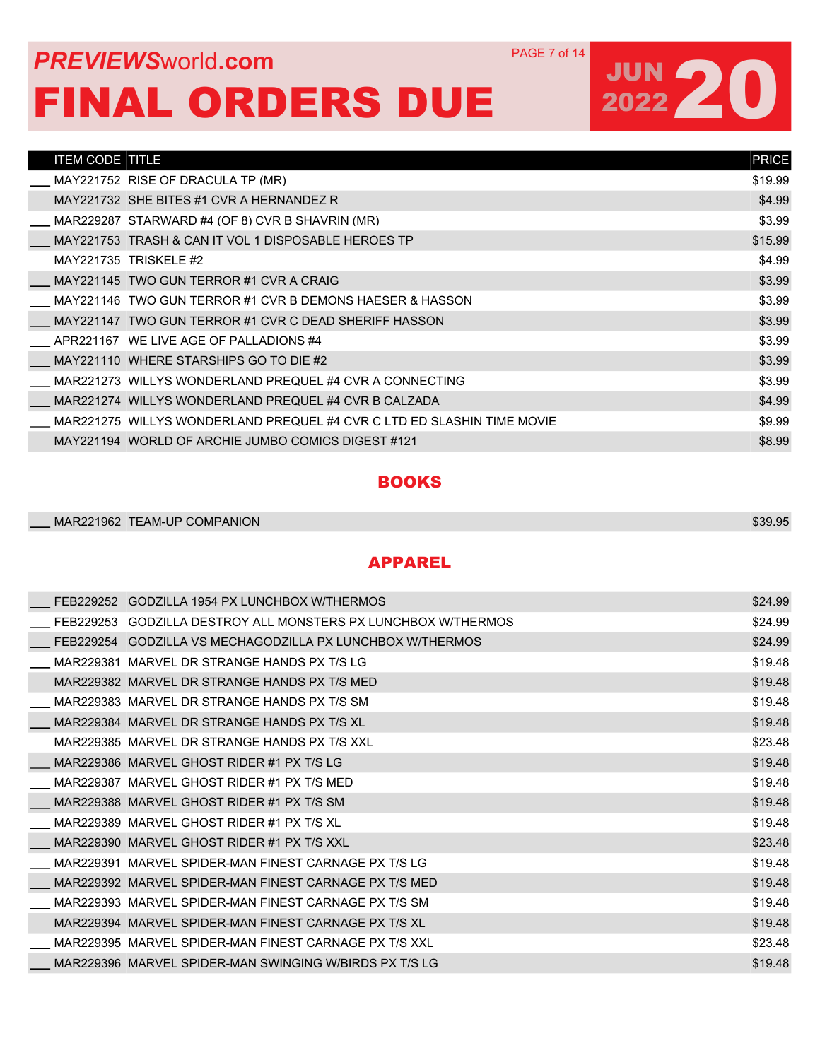## **PREVIEWS** WORLD **COM** PAGE 7 of 14 FINAL ORDERS DUE

# JUN 20

| <b>ITEM CODE TITLE</b> |                                                                        | <b>PRICE</b> |
|------------------------|------------------------------------------------------------------------|--------------|
|                        | MAY221752 RISE OF DRACULA TP (MR)                                      | \$19.99      |
|                        | MAY221732 SHE BITES #1 CVR A HERNANDEZ R                               | \$4.99       |
|                        | MAR229287 STARWARD #4 (OF 8) CVR B SHAVRIN (MR)                        | \$3.99       |
|                        | MAY221753 TRASH & CAN IT VOL 1 DISPOSABLE HEROES TP                    | \$15.99      |
|                        | MAY221735 TRISKELE #2                                                  | \$4.99       |
|                        | MAY221145 TWO GUN TERROR #1 CVR A CRAIG                                | \$3.99       |
|                        | MAY221146 TWO GUN TERROR #1 CVR B DEMONS HAESER & HASSON               | \$3.99       |
|                        | MAY221147 TWO GUN TERROR #1 CVR C DEAD SHERIFF HASSON                  | \$3.99       |
|                        | APR221167 WE LIVE AGE OF PALLADIONS #4                                 | \$3.99       |
|                        | MAY221110 WHERE STARSHIPS GO TO DIE #2                                 | \$3.99       |
|                        | MAR221273 WILLYS WONDERLAND PREQUEL #4 CVR A CONNECTING                | \$3.99       |
|                        | MAR221274 WILLYS WONDERLAND PREQUEL #4 CVR B CALZADA                   | \$4.99       |
|                        | MAR221275 WILLYS WONDERLAND PREQUEL #4 CVR C LTD ED SLASHIN TIME MOVIE | \$9.99       |
|                        | MAY221194 WORLD OF ARCHIE JUMBO COMICS DIGEST #121                     | \$8.99       |
|                        |                                                                        |              |

#### **BOOKS**

| MAR221962 TEAM-UP COMPANION | \$39.95 |
|-----------------------------|---------|
|                             |         |

#### APPAREL

| FEB229252 | GODZILLA 1954 PX LUNCHBOX W/THERMOS                    | \$24.99 |
|-----------|--------------------------------------------------------|---------|
| FEB229253 | GODZILLA DESTROY ALL MONSTERS PX LUNCHBOX W/THERMOS    | \$24.99 |
| FEB229254 | GODZILLA VS MECHAGODZILLA PX LUNCHBOX W/THERMOS        | \$24.99 |
| MAR229381 | MARVEL DR STRANGE HANDS PX T/S LG                      | \$19.48 |
|           | MAR229382 MARVEL DR STRANGE HANDS PX T/S MED           | \$19.48 |
|           | MAR229383 MARVEL DR STRANGE HANDS PX T/S SM            | \$19.48 |
|           | MAR229384 MARVEL DR STRANGE HANDS PX T/S XL            | \$19.48 |
|           | MAR229385 MARVEL DR STRANGE HANDS PX T/S XXL           | \$23.48 |
|           | MAR229386 MARVEL GHOST RIDER #1 PX T/S LG              | \$19.48 |
|           | MAR229387 MARVEL GHOST RIDER #1 PX T/S MED             | \$19.48 |
|           | MAR229388 MARVEL GHOST RIDER #1 PX T/S SM              | \$19.48 |
|           | MAR229389 MARVEL GHOST RIDER #1 PX T/S XL              | \$19.48 |
|           | MAR229390 MARVEL GHOST RIDER #1 PX T/S XXL             | \$23.48 |
|           | MAR229391 MARVEL SPIDER-MAN FINEST CARNAGE PX T/S LG   | \$19.48 |
|           | MAR229392 MARVEL SPIDER-MAN FINEST CARNAGE PX T/S MED  | \$19.48 |
|           | MAR229393 MARVEL SPIDER-MAN FINEST CARNAGE PX T/S SM   | \$19.48 |
|           | MAR229394 MARVEL SPIDER-MAN FINEST CARNAGE PX T/S XL   | \$19.48 |
|           | MAR229395 MARVEL SPIDER-MAN FINEST CARNAGE PX T/S XXL  | \$23.48 |
|           | MAR229396 MARVEL SPIDER-MAN SWINGING W/BIRDS PX T/S LG | \$19.48 |
|           |                                                        |         |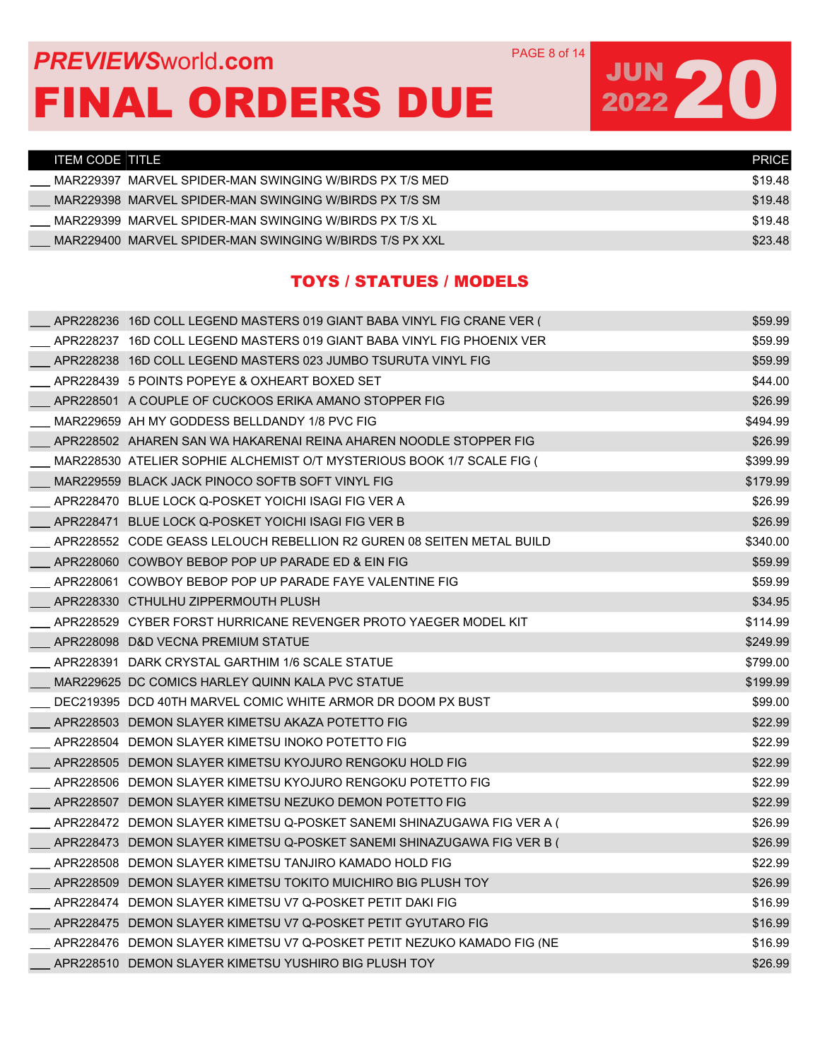### **PREVIEWS** WORLD **COM** PAGE 8 of 14 FINAL ORDERS DUE

# JUN 20

| ITEM CODE TITLE I |                                                         | <b>PRICE</b> |
|-------------------|---------------------------------------------------------|--------------|
|                   | MAR229397 MARVEL SPIDER-MAN SWINGING W/BIRDS PX T/S MED | \$19.48      |
|                   | MAR229398_MARVEL SPIDER-MAN SWINGING W/BIRDS PX T/S SM  | \$19.48      |
|                   | MAR229399 MARVEL SPIDER-MAN SWINGING W/BIRDS PX T/S XL  | \$19.48      |
|                   | MAR229400 MARVEL SPIDER-MAN SWINGING W/BIRDS T/S PX XXL | \$23.48      |

#### TOYS / STATUES / MODELS

| APR228236 16D COLL LEGEND MASTERS 019 GIANT BABA VINYL FIG CRANE VER ( | \$59.99  |
|------------------------------------------------------------------------|----------|
| APR228237 16D COLL LEGEND MASTERS 019 GIANT BABA VINYL FIG PHOENIX VER | \$59.99  |
| APR228238 16D COLL LEGEND MASTERS 023 JUMBO TSURUTA VINYL FIG          | \$59.99  |
| APR228439 5 POINTS POPEYE & OXHEART BOXED SET                          | \$44.00  |
| APR228501 A COUPLE OF CUCKOOS ERIKA AMANO STOPPER FIG                  | \$26.99  |
| MAR229659 AH MY GODDESS BELLDANDY 1/8 PVC FIG                          | \$494.99 |
| APR228502 AHAREN SAN WA HAKARENAI REINA AHAREN NOODLE STOPPER FIG      | \$26.99  |
| MAR228530 ATELIER SOPHIE ALCHEMIST O/T MYSTERIOUS BOOK 1/7 SCALE FIG ( | \$399.99 |
| MAR229559 BLACK JACK PINOCO SOFTB SOFT VINYL FIG                       | \$179.99 |
| APR228470 BLUE LOCK Q-POSKET YOICHI ISAGI FIG VER A                    | \$26.99  |
| APR228471 BLUE LOCK Q-POSKET YOICHI ISAGI FIG VER B                    | \$26.99  |
| APR228552 CODE GEASS LELOUCH REBELLION R2 GUREN 08 SEITEN METAL BUILD  | \$340.00 |
| APR228060 COWBOY BEBOP POP UP PARADE ED & EIN FIG                      | \$59.99  |
| APR228061 COWBOY BEBOP POP UP PARADE FAYE VALENTINE FIG                | \$59.99  |
| APR228330 CTHULHU ZIPPERMOUTH PLUSH                                    | \$34.95  |
| APR228529 CYBER FORST HURRICANE REVENGER PROTO YAEGER MODEL KIT        | \$114.99 |
| APR228098 D&D VECNA PREMIUM STATUE                                     | \$249.99 |
| APR228391 DARK CRYSTAL GARTHIM 1/6 SCALE STATUE                        | \$799.00 |
| MAR229625 DC COMICS HARLEY QUINN KALA PVC STATUE                       | \$199.99 |
| DEC219395 DCD 40TH MARVEL COMIC WHITE ARMOR DR DOOM PX BUST            | \$99.00  |
| APR228503 DEMON SLAYER KIMETSU AKAZA POTETTO FIG                       | \$22.99  |
| APR228504 DEMON SLAYER KIMETSU INOKO POTETTO FIG                       | \$22.99  |
| APR228505 DEMON SLAYER KIMETSU KYOJURO RENGOKU HOLD FIG                | \$22.99  |
| APR228506 DEMON SLAYER KIMETSU KYOJURO RENGOKU POTETTO FIG             | \$22.99  |
| APR228507 DEMON SLAYER KIMETSU NEZUKO DEMON POTETTO FIG                | \$22.99  |
| APR228472 DEMON SLAYER KIMETSU Q-POSKET SANEMI SHINAZUGAWA FIG VER A ( | \$26.99  |
| APR228473 DEMON SLAYER KIMETSU Q-POSKET SANEMI SHINAZUGAWA FIG VER B ( | \$26.99  |
| APR228508 DEMON SLAYER KIMETSU TANJIRO KAMADO HOLD FIG                 | \$22.99  |
| APR228509 DEMON SLAYER KIMETSU TOKITO MUICHIRO BIG PLUSH TOY           | \$26.99  |
| APR228474 DEMON SLAYER KIMETSU V7 Q-POSKET PETIT DAKI FIG              | \$16.99  |
| APR228475 DEMON SLAYER KIMETSU V7 Q-POSKET PETIT GYUTARO FIG           | \$16.99  |
| APR228476 DEMON SLAYER KIMETSU V7 Q-POSKET PETIT NEZUKO KAMADO FIG (NE | \$16.99  |
| APR228510 DEMON SLAYER KIMETSU YUSHIRO BIG PLUSH TOY                   | \$26.99  |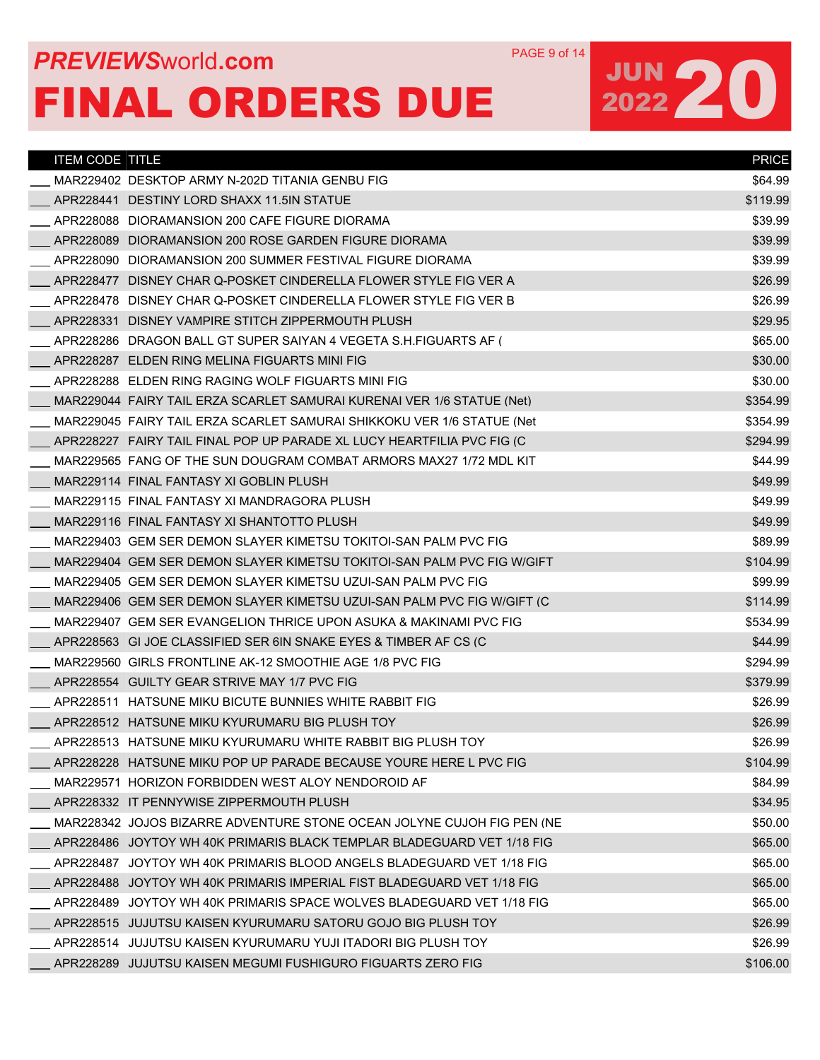## **PREVIEWS** WORLD **COM** PAGE 9 of 14 FINAL ORDERS DUE

| <b>ITEM CODE TITLE</b> |                                                                        | <b>PRICE</b> |
|------------------------|------------------------------------------------------------------------|--------------|
|                        | MAR229402 DESKTOP ARMY N-202D TITANIA GENBU FIG                        | \$64.99      |
|                        | APR228441 DESTINY LORD SHAXX 11.5IN STATUE                             | \$119.99     |
|                        | APR228088 DIORAMANSION 200 CAFE FIGURE DIORAMA                         | \$39.99      |
|                        | APR228089 DIORAMANSION 200 ROSE GARDEN FIGURE DIORAMA                  | \$39.99      |
|                        | APR228090 DIORAMANSION 200 SUMMER FESTIVAL FIGURE DIORAMA              | \$39.99      |
|                        | APR228477 DISNEY CHAR Q-POSKET CINDERELLA FLOWER STYLE FIG VER A       | \$26.99      |
|                        | APR228478 DISNEY CHAR Q-POSKET CINDERELLA FLOWER STYLE FIG VER B       | \$26.99      |
|                        | APR228331 DISNEY VAMPIRE STITCH ZIPPERMOUTH PLUSH                      | \$29.95      |
|                        | APR228286 DRAGON BALL GT SUPER SAIYAN 4 VEGETA S.H.FIGUARTS AF (       | \$65.00      |
|                        | APR228287 ELDEN RING MELINA FIGUARTS MINI FIG                          | \$30.00      |
|                        | APR228288 ELDEN RING RAGING WOLF FIGUARTS MINI FIG                     | \$30.00      |
|                        | MAR229044 FAIRY TAIL ERZA SCARLET SAMURAI KURENAI VER 1/6 STATUE (Net) | \$354.99     |
|                        | MAR229045_FAIRY TAIL ERZA SCARLET SAMURAI SHIKKOKU VER 1/6 STATUE (Net | \$354.99     |
|                        | APR228227 FAIRY TAIL FINAL POP UP PARADE XL LUCY HEARTFILIA PVC FIG (C | \$294.99     |
|                        | MAR229565 FANG OF THE SUN DOUGRAM COMBAT ARMORS MAX27 1/72 MDL KIT     | \$44.99      |
|                        | MAR229114 FINAL FANTASY XI GOBLIN PLUSH                                | \$49.99      |
|                        | MAR229115 FINAL FANTASY XI MANDRAGORA PLUSH                            | \$49.99      |
|                        | MAR229116 FINAL FANTASY XI SHANTOTTO PLUSH                             | \$49.99      |
|                        | MAR229403 GEM SER DEMON SLAYER KIMETSU TOKITOI-SAN PALM PVC FIG        | \$89.99      |
|                        | MAR229404 GEM SER DEMON SLAYER KIMETSU TOKITOI-SAN PALM PVC FIG W/GIFT | \$104.99     |
|                        | MAR229405 GEM SER DEMON SLAYER KIMETSU UZUI-SAN PALM PVC FIG           | \$99.99      |
|                        | MAR229406 GEM SER DEMON SLAYER KIMETSU UZUI-SAN PALM PVC FIG W/GIFT (C | \$114.99     |
|                        | MAR229407 GEM SER EVANGELION THRICE UPON ASUKA & MAKINAMI PVC FIG      | \$534.99     |
|                        | APR228563 GI JOE CLASSIFIED SER 6IN SNAKE EYES & TIMBER AF CS (C       | \$44.99      |
|                        | MAR229560 GIRLS FRONTLINE AK-12 SMOOTHIE AGE 1/8 PVC FIG               | \$294.99     |
|                        | APR228554 GUILTY GEAR STRIVE MAY 1/7 PVC FIG                           | \$379.99     |
|                        | APR228511 HATSUNE MIKU BICUTE BUNNIES WHITE RABBIT FIG                 | \$26.99      |
|                        | APR228512 HATSUNE MIKU KYURUMARU BIG PLUSH TOY                         | \$26.99      |
|                        | APR228513 HATSUNE MIKU KYURUMARU WHITE RABBIT BIG PLUSH TOY            | \$26.99      |
|                        | APR228228 HATSUNE MIKU POP UP PARADE BECAUSE YOURE HERE L PVC FIG      | \$104.99     |
|                        | MAR229571 HORIZON FORBIDDEN WEST ALOY NENDOROID AF                     | \$84.99      |
|                        | APR228332 IT PENNYWISE ZIPPERMOUTH PLUSH                               | \$34.95      |
|                        | MAR228342 JOJOS BIZARRE ADVENTURE STONE OCEAN JOLYNE CUJOH FIG PEN (NE | \$50.00      |
|                        | APR228486 JOYTOY WH 40K PRIMARIS BLACK TEMPLAR BLADEGUARD VET 1/18 FIG | \$65.00      |
|                        | APR228487 JOYTOY WH 40K PRIMARIS BLOOD ANGELS BLADEGUARD VET 1/18 FIG  | \$65.00      |
|                        | APR228488 JOYTOY WH 40K PRIMARIS IMPERIAL FIST BLADEGUARD VET 1/18 FIG | \$65.00      |
|                        | APR228489 JOYTOY WH 40K PRIMARIS SPACE WOLVES BLADEGUARD VET 1/18 FIG  | \$65.00      |
|                        | APR228515 JUJUTSU KAISEN KYURUMARU SATORU GOJO BIG PLUSH TOY           | \$26.99      |
|                        | APR228514   JUJUTSU KAISEN KYURUMARU YUJI ITADORI BIG PLUSH TOY        | \$26.99      |
|                        | APR228289 JUJUTSU KAISEN MEGUMI FUSHIGURO FIGUARTS ZERO FIG            | \$106.00     |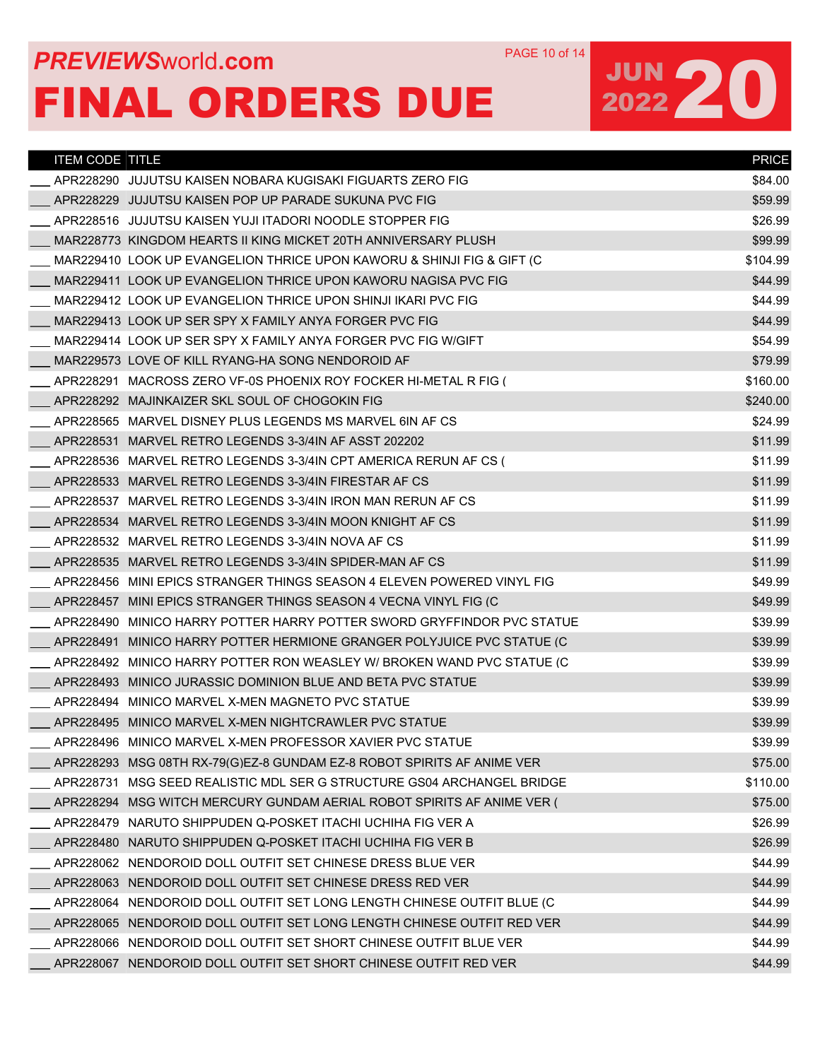## **PREVIEWS** WORLD **COM** PAGE 10 of 14 FINAL ORDERS DUE

| <b>ITEM CODE TITLE</b> |                                                                                 | <b>PRICE</b> |
|------------------------|---------------------------------------------------------------------------------|--------------|
|                        | APR228290 JUJUTSU KAISEN NOBARA KUGISAKI FIGUARTS ZERO FIG                      | \$84.00      |
|                        | APR228229 JUJUTSU KAISEN POP UP PARADE SUKUNA PVC FIG                           | \$59.99      |
|                        | APR228516 JUJUTSU KAISEN YUJI ITADORI NOODLE STOPPER FIG                        | \$26.99      |
|                        | MAR228773 KINGDOM HEARTS II KING MICKET 20TH ANNIVERSARY PLUSH                  | \$99.99      |
|                        | MAR229410 LOOK UP EVANGELION THRICE UPON KAWORU & SHINJI FIG & GIFT (C          | \$104.99     |
|                        | MAR229411 LOOK UP EVANGELION THRICE UPON KAWORU NAGISA PVC FIG                  | \$44.99      |
|                        | MAR229412 LOOK UP EVANGELION THRICE UPON SHINJI IKARI PVC FIG                   | \$44.99      |
|                        | MAR229413 LOOK UP SER SPY X FAMILY ANYA FORGER PVC FIG                          | \$44.99      |
|                        | MAR229414 LOOK UP SER SPY X FAMILY ANYA FORGER PVC FIG W/GIFT                   | \$54.99      |
|                        | MAR229573 LOVE OF KILL RYANG-HA SONG NENDOROID AF                               | \$79.99      |
|                        | APR228291 MACROSS ZERO VF-0S PHOENIX ROY FOCKER HI-METAL R FIG (                | \$160.00     |
|                        | APR228292 MAJINKAIZER SKL SOUL OF CHOGOKIN FIG                                  | \$240.00     |
|                        | APR228565 MARVEL DISNEY PLUS LEGENDS MS MARVEL 6IN AF CS                        | \$24.99      |
|                        | APR228531 MARVEL RETRO LEGENDS 3-3/4IN AF ASST 202202                           | \$11.99      |
|                        | APR228536 MARVEL RETRO LEGENDS 3-3/4IN CPT AMERICA RERUN AF CS (                | \$11.99      |
|                        | APR228533 MARVEL RETRO LEGENDS 3-3/4IN FIRESTAR AF CS                           | \$11.99      |
|                        | APR228537 MARVEL RETRO LEGENDS 3-3/4IN IRON MAN RERUN AF CS                     | \$11.99      |
|                        | APR228534 MARVEL RETRO LEGENDS 3-3/4IN MOON KNIGHT AF CS                        | \$11.99      |
|                        | APR228532 MARVEL RETRO LEGENDS 3-3/4IN NOVA AF CS                               | \$11.99      |
|                        | APR228535 MARVEL RETRO LEGENDS 3-3/4IN SPIDER-MAN AF CS                         | \$11.99      |
|                        | APR228456 MINI EPICS STRANGER THINGS SEASON 4 ELEVEN POWERED VINYL FIG          | \$49.99      |
|                        | APR228457 MINI EPICS STRANGER THINGS SEASON 4 VECNA VINYL FIG (C                | \$49.99      |
|                        | APR228490 MINICO HARRY POTTER HARRY POTTER SWORD GRYFFINDOR PVC STATUE          | \$39.99      |
|                        | APR228491 MINICO HARRY POTTER HERMIONE GRANGER POLYJUICE PVC STATUE (C          | \$39.99      |
|                        | APR228492 MINICO HARRY POTTER RON WEASLEY W/ BROKEN WAND PVC STATUE (C          | \$39.99      |
|                        | APR228493 MINICO JURASSIC DOMINION BLUE AND BETA PVC STATUE                     | \$39.99      |
|                        | APR228494 MINICO MARVEL X-MEN MAGNETO PVC STATUE                                | \$39.99      |
|                        | APR228495 MINICO MARVEL X-MEN NIGHTCRAWLER PVC STATUE                           | \$39.99      |
|                        | APR228496_MINICO MARVEL X-MEN PROFESSOR XAVIER PVC STATUE                       | \$39.99      |
|                        | APR228293 MSG 08TH RX-79(G)EZ-8 GUNDAM EZ-8 ROBOT SPIRITS AF ANIME VER          | \$75.00      |
| APR228731              | MSG SEED REALISTIC MDL SER G STRUCTURE GS04 ARCHANGEL BRIDGE                    | \$110.00     |
|                        | APR228294 MSG WITCH MERCURY GUNDAM AERIAL ROBOT SPIRITS AF ANIME VER (          | \$75.00      |
|                        | APR228479_NARUTO SHIPPUDEN Q-POSKET ITACHI UCHIHA FIG VER A                     | \$26.99      |
|                        | APR228480_NARUTO SHIPPUDEN Q-POSKET ITACHI UCHIHA FIG VER B                     | \$26.99      |
|                        |                                                                                 | \$44.99      |
|                        |                                                                                 | \$44.99      |
|                        | APR228064_NENDOROID        DOLL OUTFIT SET LONG LENGTH CHINESE OUTFIT BLUE (C   | \$44.99      |
|                        | APR228065 NENDOROID DOLL OUTFIT SET LONG LENGTH CHINESE OUTFIT RED VER          | \$44.99      |
|                        | APR228066_NENDOROID        DOLL OUTFIT SET SHORT CHINESE OUTFIT BLUE        VER | \$44.99      |
|                        | APR228067_NENDOROID        DOLL OUTFIT SET SHORT CHINESE OUTFIT RED VER         | \$44.99      |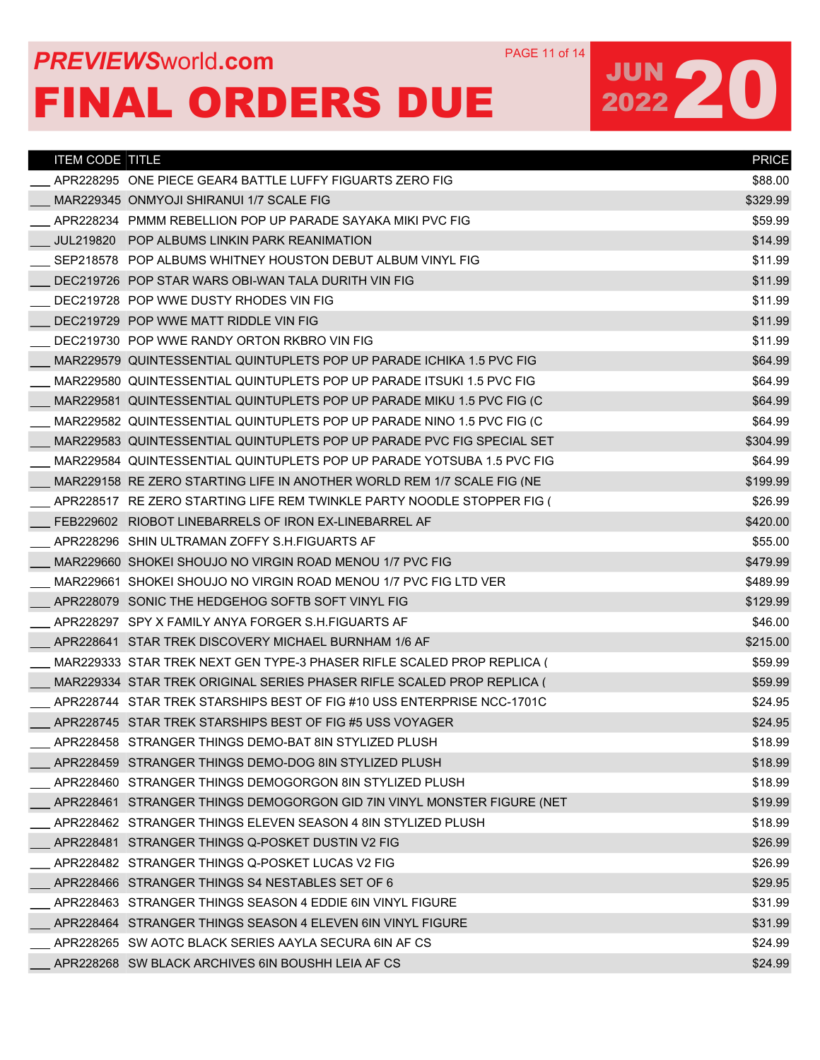## **PREVIEWS** WORLD **COM** PAGE 11 of 14 FINAL ORDERS DUE

| <b>ITEM CODE TITLE</b> |                                                                        | <b>PRICE</b> |
|------------------------|------------------------------------------------------------------------|--------------|
|                        | APR228295 ONE PIECE GEAR4 BATTLE LUFFY FIGUARTS ZERO FIG               | \$88.00      |
|                        | MAR229345 ONMYOJI SHIRANUI 1/7 SCALE FIG                               | \$329.99     |
|                        | APR228234 PMMM REBELLION POP UP PARADE SAYAKA MIKI PVC FIG             | \$59.99      |
| JUL219820              | POP ALBUMS LINKIN PARK REANIMATION                                     | \$14.99      |
|                        | SEP218578 POP ALBUMS WHITNEY HOUSTON DEBUT ALBUM VINYL FIG             | \$11.99      |
|                        | DEC219726 POP STAR WARS OBI-WAN TALA DURITH VIN FIG                    | \$11.99      |
|                        | DEC219728 POP WWE DUSTY RHODES VIN FIG                                 | \$11.99      |
|                        | DEC219729 POP WWE MATT RIDDLE VIN FIG                                  | \$11.99      |
|                        | DEC219730 POP WWE RANDY ORTON RKBRO VIN FIG                            | \$11.99      |
|                        | MAR229579 QUINTESSENTIAL QUINTUPLETS POP UP PARADE ICHIKA 1.5 PVC FIG  | \$64.99      |
|                        | MAR229580 QUINTESSENTIAL QUINTUPLETS POP UP PARADE ITSUKI 1.5 PVC FIG  | \$64.99      |
|                        | MAR229581_QUINTESSENTIAL QUINTUPLETS POP UP PARADE MIKU 1.5 PVC FIG (C | \$64.99      |
|                        | MAR229582_QUINTESSENTIAL QUINTUPLETS POP UP PARADE NINO 1.5 PVC FIG (C | \$64.99      |
|                        | MAR229583 QUINTESSENTIAL QUINTUPLETS POP UP PARADE PVC FIG SPECIAL SET | \$304.99     |
|                        | MAR229584 QUINTESSENTIAL QUINTUPLETS POP UP PARADE YOTSUBA 1.5 PVC FIG | \$64.99      |
|                        | MAR229158 RE ZERO STARTING LIFE IN ANOTHER WORLD REM 1/7 SCALE FIG (NE | \$199.99     |
|                        | APR228517 RE ZERO STARTING LIFE REM TWINKLE PARTY NOODLE STOPPER FIG ( | \$26.99      |
|                        | FEB229602 RIOBOT LINEBARRELS OF IRON EX-LINEBARREL AF                  | \$420.00     |
|                        | APR228296 SHIN ULTRAMAN ZOFFY S.H.FIGUARTS AF                          | \$55.00      |
|                        | MAR229660 SHOKEI SHOUJO NO VIRGIN ROAD MENOU 1/7 PVC FIG               | \$479.99     |
|                        | MAR229661_SHOKEI SHOUJO NO VIRGIN ROAD MENOU 1/7 PVC FIG LTD VER       | \$489.99     |
|                        | APR228079 SONIC THE HEDGEHOG SOFTB SOFT VINYL FIG                      | \$129.99     |
|                        | APR228297 SPY X FAMILY ANYA FORGER S.H.FIGUARTS AF                     | \$46.00      |
|                        | APR228641 STAR TREK DISCOVERY MICHAEL BURNHAM 1/6 AF                   | \$215.00     |
|                        | MAR229333_STAR_TREK_NEXT_GEN_TYPE-3_PHASER_RIFLE_SCALED_PROP_REPLICA_( | \$59.99      |
|                        | MAR229334 STAR TREK ORIGINAL SERIES PHASER RIFLE SCALED PROP REPLICA ( | \$59.99      |
|                        | APR228744 STAR TREK STARSHIPS BEST OF FIG #10 USS ENTERPRISE NCC-1701C | \$24.95      |
|                        | APR228745 STAR TREK STARSHIPS BEST OF FIG #5 USS VOYAGER               | \$24.95      |
|                        | APR228458 STRANGER THINGS DEMO-BAT 8IN STYLIZED PLUSH                  | \$18.99      |
|                        | APR228459 STRANGER THINGS DEMO-DOG 8IN STYLIZED PLUSH                  | \$18.99      |
|                        | APR228460 STRANGER THINGS DEMOGORGON 8IN STYLIZED PLUSH                | \$18.99      |
|                        | APR228461 STRANGER THINGS DEMOGORGON GID 7IN VINYL MONSTER FIGURE (NET | \$19.99      |
|                        | APR228462 STRANGER THINGS ELEVEN SEASON 4 8IN STYLIZED PLUSH           | \$18.99      |
|                        | APR228481 STRANGER THINGS Q-POSKET DUSTIN V2 FIG                       | \$26.99      |
|                        | APR228482 STRANGER THINGS Q-POSKET LUCAS V2 FIG                        | \$26.99      |
|                        | APR228466 STRANGER THINGS S4 NESTABLES SET OF 6                        | \$29.95      |
|                        | APR228463 STRANGER THINGS SEASON 4 EDDIE 6IN VINYL FIGURE              | \$31.99      |
|                        | APR228464 STRANGER THINGS SEASON 4 ELEVEN 6IN VINYL FIGURE             | \$31.99      |
|                        | APR228265 SW AOTC BLACK SERIES AAYLA SECURA 6IN AF CS                  | \$24.99      |
|                        | APR228268 SW BLACK ARCHIVES 6IN BOUSHH LEIA AF CS                      | \$24.99      |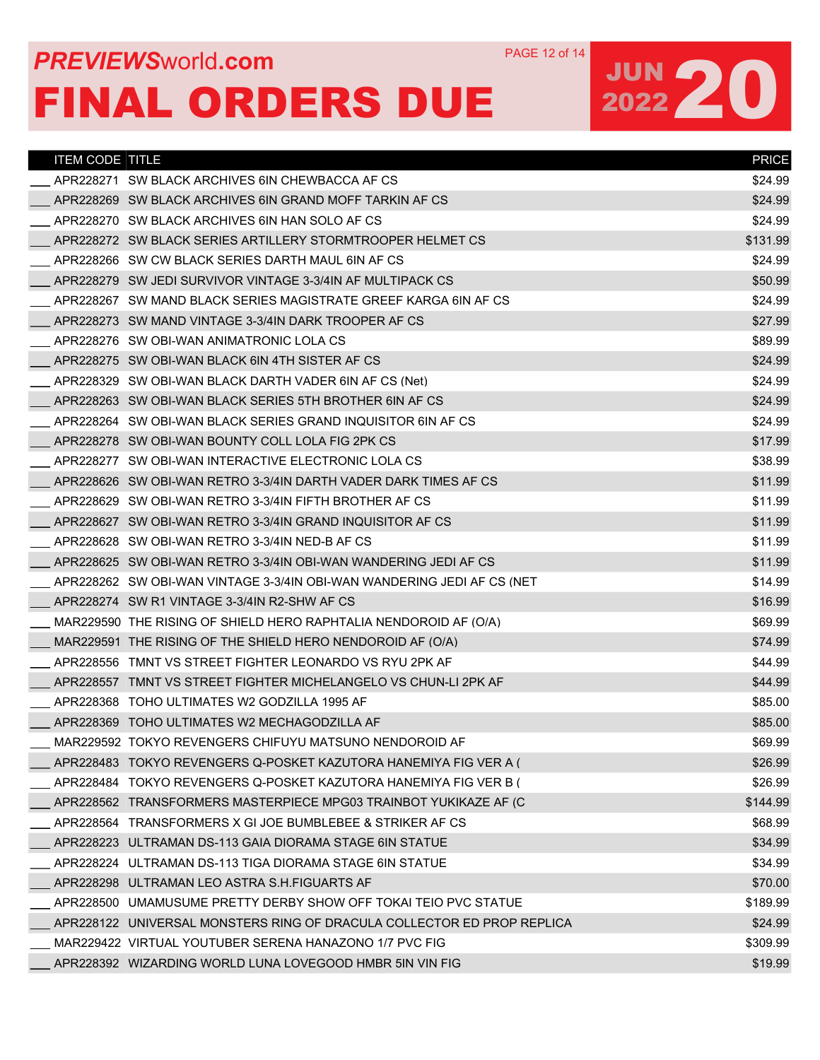## **PREVIEWS** WORLD **COM** PAGE 12 of 14 FINAL ORDERS DUE

| <b>ITEM CODE TITLE</b> |                                                                        | <b>PRICE</b> |
|------------------------|------------------------------------------------------------------------|--------------|
|                        | APR228271 SW BLACK ARCHIVES 6IN CHEWBACCA AF CS                        | \$24.99      |
|                        | APR228269 SW BLACK ARCHIVES 6IN GRAND MOFF TARKIN AF CS                | \$24.99      |
|                        | APR228270 SW BLACK ARCHIVES 6IN HAN SOLO AF CS                         | \$24.99      |
|                        | APR228272 SW BLACK SERIES ARTILLERY STORMTROOPER HELMET CS             | \$131.99     |
|                        | APR228266 SW CW BLACK SERIES DARTH MAUL 6IN AF CS                      | \$24.99      |
|                        | APR228279 SW JEDI SURVIVOR VINTAGE 3-3/4IN AF MULTIPACK CS             | \$50.99      |
|                        | APR228267 SW MAND BLACK SERIES MAGISTRATE GREEF KARGA 6IN AF CS        | \$24.99      |
|                        | APR228273 SW MAND VINTAGE 3-3/4IN DARK TROOPER AF CS                   | \$27.99      |
|                        | APR228276 SW OBI-WAN ANIMATRONIC LOLA CS                               | \$89.99      |
|                        | APR228275 SW OBI-WAN BLACK 6IN 4TH SISTER AF CS                        | \$24.99      |
|                        | APR228329 SW OBI-WAN BLACK DARTH VADER 6IN AF CS (Net)                 | \$24.99      |
|                        | APR228263 SW OBI-WAN BLACK SERIES 5TH BROTHER 6IN AF CS                | \$24.99      |
|                        | APR228264 SW OBI-WAN BLACK SERIES GRAND INQUISITOR 6IN AF CS           | \$24.99      |
|                        | APR228278 SW OBI-WAN BOUNTY COLL LOLA FIG 2PK CS                       | \$17.99      |
|                        | APR228277 SW OBI-WAN INTERACTIVE ELECTRONIC LOLA CS                    | \$38.99      |
|                        | APR228626 SW OBI-WAN RETRO 3-3/4IN DARTH VADER DARK TIMES AF CS        | \$11.99      |
|                        | APR228629 SW OBI-WAN RETRO 3-3/4IN FIFTH BROTHER AF CS                 | \$11.99      |
|                        | APR228627 SW OBI-WAN RETRO 3-3/4IN GRAND INQUISITOR AF CS              | \$11.99      |
|                        | APR228628 SW OBI-WAN RETRO 3-3/4IN NED-B AF CS                         | \$11.99      |
|                        | APR228625 SW OBI-WAN RETRO 3-3/4IN OBI-WAN WANDERING JEDI AF CS        | \$11.99      |
|                        | APR228262 SW OBI-WAN VINTAGE 3-3/4IN OBI-WAN WANDERING JEDI AF CS (NET | \$14.99      |
|                        | APR228274 SW R1 VINTAGE 3-3/4IN R2-SHW AF CS                           | \$16.99      |
|                        | MAR229590 THE RISING OF SHIELD HERO RAPHTALIA NENDOROID AF (O/A)       | \$69.99      |
|                        | MAR229591 THE RISING OF THE SHIELD HERO NENDOROID AF (O/A)             | \$74.99      |
|                        | APR228556 TMNT VS STREET FIGHTER LEONARDO VS RYU 2PK AF                | \$44.99      |
|                        | APR228557 TMNT VS STREET FIGHTER MICHELANGELO VS CHUN-LI 2PK AF        | \$44.99      |
|                        | APR228368 TOHO ULTIMATES W2 GODZILLA 1995 AF                           | \$85.00      |
|                        | APR228369 TOHO ULTIMATES W2 MECHAGODZILLA AF                           | \$85.00      |
|                        | MAR229592 TOKYO REVENGERS CHIFUYU MATSUNO NENDOROID AF                 | \$69.99      |
|                        | APR228483 TOKYO REVENGERS Q-POSKET KAZUTORA HANEMIYA FIG VER A (       | \$26.99      |
|                        | APR228484 TOKYO REVENGERS Q-POSKET KAZUTORA HANEMIYA FIG VER B (       | \$26.99      |
|                        | APR228562 TRANSFORMERS MASTERPIECE MPG03 TRAINBOT YUKIKAZE AF (C)      | \$144.99     |
|                        | APR228564 TRANSFORMERS X GI JOE BUMBLEBEE & STRIKER AF CS              | \$68.99      |
|                        | APR228223 ULTRAMAN DS-113 GAIA DIORAMA STAGE 6IN STATUE                | \$34.99      |
|                        | APR228224 ULTRAMAN DS-113 TIGA DIORAMA STAGE 6IN STATUE                | \$34.99      |
|                        | APR228298 ULTRAMAN LEO ASTRA S.H.FIGUARTS AF                           | \$70.00      |
|                        | APR228500 UMAMUSUME PRETTY DERBY SHOW OFF TOKAI TEIO PVC STATUE        | \$189.99     |
|                        | APR228122 UNIVERSAL MONSTERS RING OF DRACULA COLLECTOR ED PROP REPLICA | \$24.99      |
|                        | MAR229422 VIRTUAL YOUTUBER SERENA HANAZONO 1/7 PVC FIG                 | \$309.99     |
|                        | APR228392 WIZARDING WORLD LUNA LOVEGOOD HMBR 5IN VIN FIG               | \$19.99      |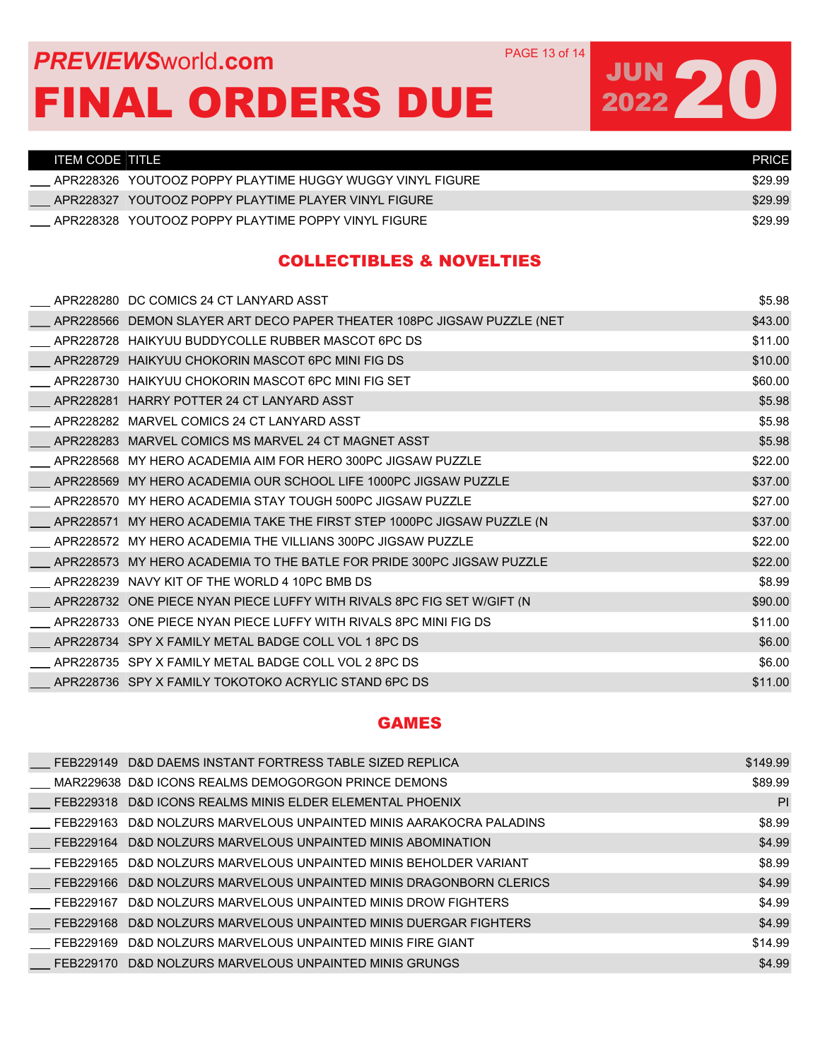### **PREVIEWS** WORLD **COM** PAGE 13 of 14 FINAL ORDERS DUE

# JUN 20

| TITEM CODE TITLE " |                                                           | <b>PRICE</b> |
|--------------------|-----------------------------------------------------------|--------------|
|                    | APR228326 YOUTOOZ POPPY PLAYTIME HUGGY WUGGY VINYL FIGURE | \$29.99      |
|                    | APR228327 YOUTOOZ POPPY PLAYTIME PLAYER VINYL FIGURE      | \$29.99      |
|                    | APR228328 YOUTOOZ POPPY PLAYTIME POPPY VINYL FIGURE       | \$29.99      |

#### COLLECTIBLES & NOVELTIES

|           | APR228280 DC COMICS 24 CT LANYARD ASST                                 | \$5.98  |
|-----------|------------------------------------------------------------------------|---------|
| APR228566 | DEMON SLAYER ART DECO PAPER THEATER 108PC JIGSAW PUZZLE (NET           | \$43.00 |
|           | APR228728 HAIKYUU BUDDYCOLLE RUBBER MASCOT 6PC DS                      | \$11.00 |
|           | APR228729 HAIKYUU CHOKORIN MASCOT 6PC MINI FIG DS                      | \$10.00 |
|           | APR228730 HAIKYUU CHOKORIN MASCOT 6PC MINI FIG SET                     | \$60.00 |
|           | APR228281 HARRY POTTER 24 CT LANYARD ASST                              | \$5.98  |
|           | APR228282 MARVEL COMICS 24 CT LANYARD ASST                             | \$5.98  |
| APR228283 | MARVEL COMICS MS MARVEL 24 CT MAGNET ASST                              | \$5.98  |
| APR228568 | MY HERO ACADEMIA AIM FOR HERO 300PC JIGSAW PUZZLE                      | \$22.00 |
|           | APR228569 MY HERO ACADEMIA OUR SCHOOL LIFE 1000PC JIGSAW PUZZLE        | \$37.00 |
|           | APR228570 MY HERO ACADEMIA STAY TOUGH 500PC JIGSAW PUZZLE              | \$27.00 |
| APR228571 | MY HERO ACADEMIA TAKE THE FIRST STEP 1000PC JIGSAW PUZZLE (N           | \$37.00 |
| APR228572 | MY HERO ACADEMIA THE VILLIANS 300PC JIGSAW PUZZLE                      | \$22.00 |
| APR228573 | MY HERO ACADEMIA TO THE BATLE FOR PRIDE 300PC JIGSAW PUZZLE            | \$22.00 |
| APR228239 | NAVY KIT OF THE WORLD 4 10PC BMB DS                                    | \$8.99  |
|           | APR228732 ONE PIECE NYAN PIECE LUFFY WITH RIVALS 8PC FIG SET W/GIFT (N | \$90.00 |
|           | APR228733 ONE PIECE NYAN PIECE LUFFY WITH RIVALS 8PC MINI FIG DS       | \$11.00 |
|           | APR228734 SPY X FAMILY METAL BADGE COLL VOL 1 8PC DS                   | \$6.00  |
|           | APR228735 SPY X FAMILY METAL BADGE COLL VOL 2 8PC DS                   | \$6.00  |
|           | APR228736 SPY X FAMILY TOKOTOKO ACRYLIC STAND 6PC DS                   | \$11.00 |
|           |                                                                        |         |

#### GAMES

| FFB229149 | D&D DAEMS INSTANT FORTRESS TABLE SIZED REPLICA           | \$149.99 |
|-----------|----------------------------------------------------------|----------|
|           | MAR229638 D&D ICONS REALMS DEMOGORGON PRINCE DEMONS      | \$89.99  |
| FEB229318 | D&D ICONS REALMS MINIS ELDER ELEMENTAL PHOENIX           | PI       |
| FEB229163 | D&D NOLZURS MARVELOUS UNPAINTED MINIS AARAKOCRA PALADINS | \$8.99   |
| FEB229164 | D&D NOLZURS MARVELOUS UNPAINTED MINIS ABOMINATION        | \$4.99   |
| FFB229165 | D&D NOLZURS MARVELOUS UNPAINTED MINIS BEHOLDER VARIANT   | \$8.99   |
| FEB229166 | D&D NOLZURS MARVELOUS UNPAINTED MINIS DRAGONBORN CLERICS | \$4.99   |
| FFB229167 | D&D NOLZURS MARVELOUS UNPAINTED MINIS DROW FIGHTERS      | \$4.99   |
| FEB229168 | D&D NOLZURS MARVELOUS UNPAINTED MINIS DUERGAR FIGHTERS   | \$4.99   |
| FFB229169 | D&D NOLZURS MARVELOUS UNPAINTED MINIS FIRE GIANT         | \$14.99  |
| FFB229170 | D&D NOLZURS MARVELOUS UNPAINTED MINIS GRUNGS             | \$4.99   |